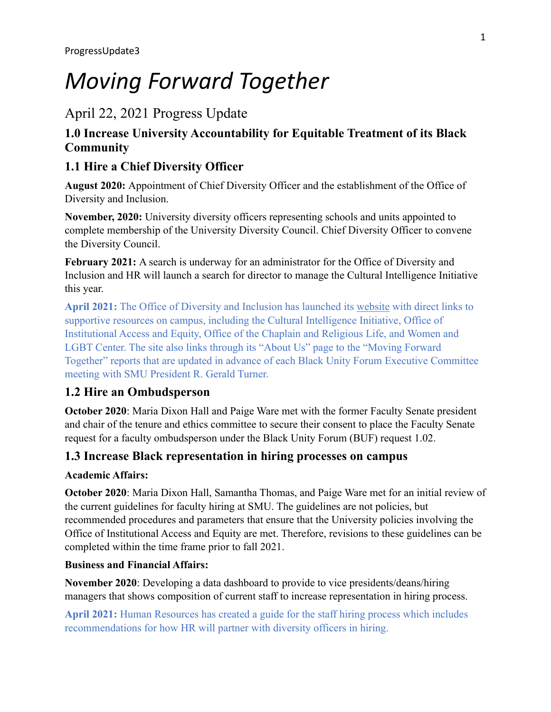# *Moving Forward Together*

# April 22, 2021 Progress Update

# **1.0 Increase University Accountability for Equitable Treatment of its Black Community**

# **1.1 Hire a Chief Diversity Officer**

**August 2020:** Appointment of Chief Diversity Officer and the establishment of the Office of Diversity and Inclusion.

**November, 2020:** University diversity officers representing schools and units appointed to complete membership of the University Diversity Council. Chief Diversity Officer to convene the Diversity Council.

**February 2021:** A search is underway for an administrator for the Office of Diversity and Inclusion and HR will launch a search for director to manage the Cultural Intelligence Initiative this year.

**April 2021:** The Office of Diversity and Inclusion has launched its [website](https://www.smu.edu/DiversityInclusion) with direct links to supportive resources on campus, including the Cultural Intelligence Initiative, Office of Institutional Access and Equity, Office of the Chaplain and Religious Life, and Women and LGBT Center. The site also links through its "About Us" page to the "Moving Forward Together" reports that are updated in advance of each Black Unity Forum Executive Committee meeting with SMU President R. Gerald Turner.

# **1.2 Hire an Ombudsperson**

**October 2020**: Maria Dixon Hall and Paige Ware met with the former Faculty Senate president and chair of the tenure and ethics committee to secure their consent to place the Faculty Senate request for a faculty ombudsperson under the Black Unity Forum (BUF) request 1.02.

## **1.3 Increase Black representation in hiring processes on campus**

#### **Academic Affairs:**

**October 2020**: Maria Dixon Hall, Samantha Thomas, and Paige Ware met for an initial review of the current guidelines for faculty hiring at SMU. The guidelines are not policies, but recommended procedures and parameters that ensure that the University policies involving the Office of Institutional Access and Equity are met. Therefore, revisions to these guidelines can be completed within the time frame prior to fall 2021.

### **Business and Financial Affairs:**

**November 2020**: Developing a data dashboard to provide to vice presidents/deans/hiring managers that shows composition of current staff to increase representation in hiring process.

**April 2021:** Human Resources has created a guide for the staff hiring process which includes recommendations for how HR will partner with diversity officers in hiring.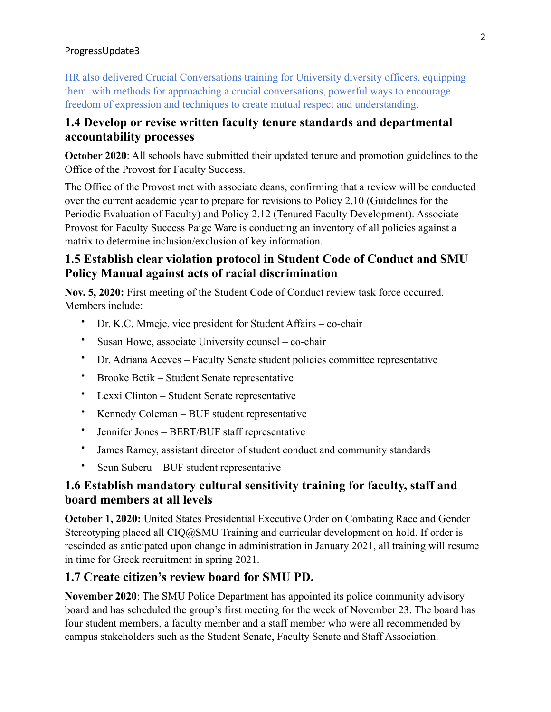HR also delivered Crucial Conversations training for University diversity officers, equipping them with methods for approaching a crucial conversations, powerful ways to encourage freedom of expression and techniques to create mutual respect and understanding.

### **1.4 Develop or revise written faculty tenure standards and departmental accountability processes**

**October 2020**: All schools have submitted their updated tenure and promotion guidelines to the Office of the Provost for Faculty Success.

The Office of the Provost met with associate deans, confirming that a review will be conducted over the current academic year to prepare for revisions to Policy 2.10 (Guidelines for the Periodic Evaluation of Faculty) and Policy 2.12 (Tenured Faculty Development). Associate Provost for Faculty Success Paige Ware is conducting an inventory of all policies against a matrix to determine inclusion/exclusion of key information.

# **1.5 Establish clear violation protocol in Student Code of Conduct and SMU Policy Manual against acts of racial discrimination**

**Nov. 5, 2020:** First meeting of the Student Code of Conduct review task force occurred. Members include:

- Dr. K.C. Mmeje, vice president for Student Affairs co-chair
- Susan Howe, associate University counsel co-chair
- Dr. Adriana Aceves Faculty Senate student policies committee representative
- Brooke Betik Student Senate representative
- Lexxi Clinton Student Senate representative
- Kennedy Coleman BUF student representative
- Jennifer Jones BERT/BUF staff representative
- James Ramey, assistant director of student conduct and community standards
- Seun Suberu BUF student representative

# **1.6 Establish mandatory cultural sensitivity training for faculty, staff and board members at all levels**

**October 1, 2020:** United States Presidential Executive Order on Combating Race and Gender Stereotyping placed all CIQ@SMU Training and curricular development on hold. If order is rescinded as anticipated upon change in administration in January 2021, all training will resume in time for Greek recruitment in spring 2021.

## **1.7 Create citizen's review board for SMU PD.**

**November 2020**: The SMU Police Department has appointed its police community advisory board and has scheduled the group's first meeting for the week of November 23. The board has four student members, a faculty member and a staff member who were all recommended by campus stakeholders such as the Student Senate, Faculty Senate and Staff Association.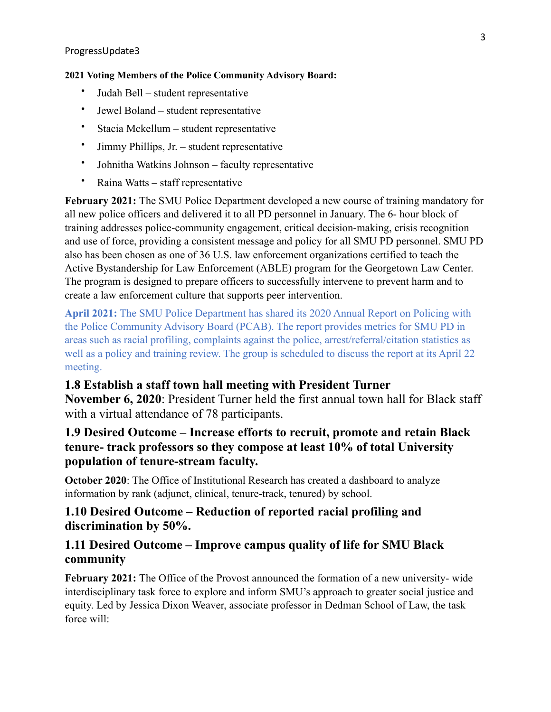#### **2021 Voting Members of the Police Community Advisory Board:**

- Judah Bell student representative
- Jewel Boland student representative
- Stacia Mckellum student representative
- Jimmy Phillips, Jr. student representative
- Johnitha Watkins Johnson faculty representative
- Raina Watts staff representative

**February 2021:** The SMU Police Department developed a new course of training mandatory for all new police officers and delivered it to all PD personnel in January. The 6- hour block of training addresses police-community engagement, critical decision-making, crisis recognition and use of force, providing a consistent message and policy for all SMU PD personnel. SMU PD also has been chosen as one of 36 U.S. law enforcement organizations certified to teach the Active Bystandership for Law Enforcement (ABLE) program for the Georgetown Law Center. The program is designed to prepare officers to successfully intervene to prevent harm and to create a law enforcement culture that supports peer intervention.

**April 2021:** The SMU Police Department has shared its 2020 Annual Report on Policing with the Police Community Advisory Board (PCAB). The report provides metrics for SMU PD in areas such as racial profiling, complaints against the police, arrest/referral/citation statistics as well as a policy and training review. The group is scheduled to discuss the report at its April 22 meeting.

## **1.8 Establish a staff town hall meeting with President Turner**

**November 6, 2020**: President Turner held the first annual town hall for Black staff with a virtual attendance of 78 participants.

# **1.9 Desired Outcome – Increase efforts to recruit, promote and retain Black tenure- track professors so they compose at least 10% of total University population of tenure-stream faculty.**

**October 2020**: The Office of Institutional Research has created a dashboard to analyze information by rank (adjunct, clinical, tenure-track, tenured) by school.

### **1.10 Desired Outcome – Reduction of reported racial profiling and discrimination by 50%.**

## **1.11 Desired Outcome – Improve campus quality of life for SMU Black community**

**February 2021:** The Office of the Provost announced the formation of a new university- wide interdisciplinary task force to explore and inform SMU's approach to greater social justice and equity. Led by Jessica Dixon Weaver, associate professor in Dedman School of Law, the task force will: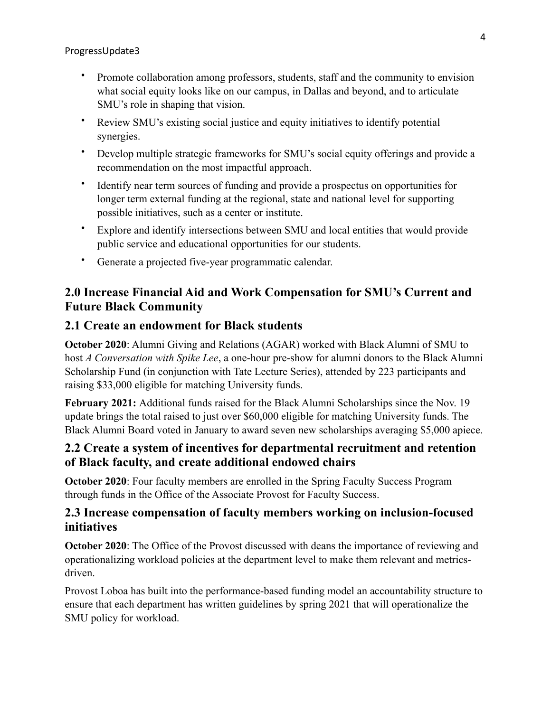- Promote collaboration among professors, students, staff and the community to envision what social equity looks like on our campus, in Dallas and beyond, and to articulate SMU's role in shaping that vision.
- Review SMU's existing social justice and equity initiatives to identify potential synergies.
- Develop multiple strategic frameworks for SMU's social equity offerings and provide a recommendation on the most impactful approach.
- Identify near term sources of funding and provide a prospectus on opportunities for longer term external funding at the regional, state and national level for supporting possible initiatives, such as a center or institute.
- Explore and identify intersections between SMU and local entities that would provide public service and educational opportunities for our students.
- Generate a projected five-year programmatic calendar.

# **2.0 Increase Financial Aid and Work Compensation for SMU's Current and Future Black Community**

## **2.1 Create an endowment for Black students**

**October 2020**: Alumni Giving and Relations (AGAR) worked with Black Alumni of SMU to host *A Conversation with Spike Lee*, a one-hour pre-show for alumni donors to the Black Alumni Scholarship Fund (in conjunction with Tate Lecture Series), attended by 223 participants and raising \$33,000 eligible for matching University funds.

**February 2021:** Additional funds raised for the Black Alumni Scholarships since the Nov. 19 update brings the total raised to just over \$60,000 eligible for matching University funds. The Black Alumni Board voted in January to award seven new scholarships averaging \$5,000 apiece.

## **2.2 Create a system of incentives for departmental recruitment and retention of Black faculty, and create additional endowed chairs**

**October 2020**: Four faculty members are enrolled in the Spring Faculty Success Program through funds in the Office of the Associate Provost for Faculty Success.

## **2.3 Increase compensation of faculty members working on inclusion-focused initiatives**

**October 2020**: The Office of the Provost discussed with deans the importance of reviewing and operationalizing workload policies at the department level to make them relevant and metricsdriven.

Provost Loboa has built into the performance-based funding model an accountability structure to ensure that each department has written guidelines by spring 2021 that will operationalize the SMU policy for workload.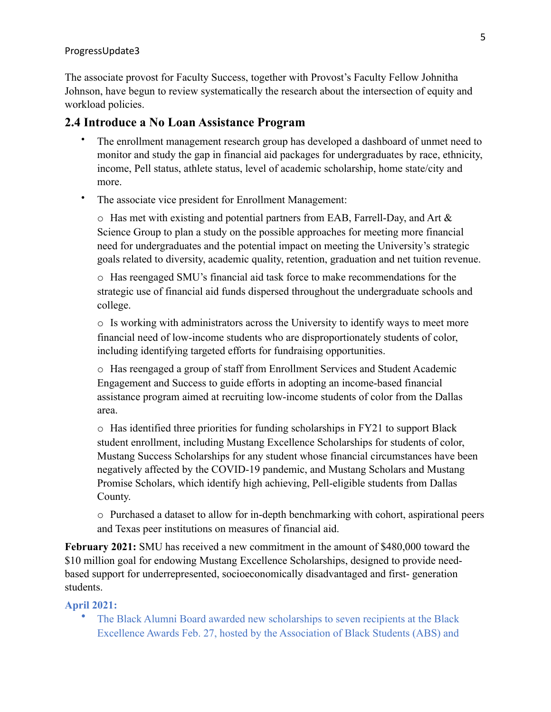The associate provost for Faculty Success, together with Provost's Faculty Fellow Johnitha Johnson, have begun to review systematically the research about the intersection of equity and workload policies.

### **2.4 Introduce a No Loan Assistance Program**

- The enrollment management research group has developed a dashboard of unmet need to monitor and study the gap in financial aid packages for undergraduates by race, ethnicity, income, Pell status, athlete status, level of academic scholarship, home state/city and more.
- The associate vice president for Enrollment Management:

o Has met with existing and potential partners from EAB, Farrell-Day, and Art & Science Group to plan a study on the possible approaches for meeting more financial need for undergraduates and the potential impact on meeting the University's strategic goals related to diversity, academic quality, retention, graduation and net tuition revenue.

o Has reengaged SMU's financial aid task force to make recommendations for the strategic use of financial aid funds dispersed throughout the undergraduate schools and college.

o Is working with administrators across the University to identify ways to meet more financial need of low-income students who are disproportionately students of color, including identifying targeted efforts for fundraising opportunities.

o Has reengaged a group of staff from Enrollment Services and Student Academic Engagement and Success to guide efforts in adopting an income-based financial assistance program aimed at recruiting low-income students of color from the Dallas area.

o Has identified three priorities for funding scholarships in FY21 to support Black student enrollment, including Mustang Excellence Scholarships for students of color, Mustang Success Scholarships for any student whose financial circumstances have been negatively affected by the COVID-19 pandemic, and Mustang Scholars and Mustang Promise Scholars, which identify high achieving, Pell-eligible students from Dallas County.

o Purchased a dataset to allow for in-depth benchmarking with cohort, aspirational peers and Texas peer institutions on measures of financial aid.

**February 2021:** SMU has received a new commitment in the amount of \$480,000 toward the \$10 million goal for endowing Mustang Excellence Scholarships, designed to provide needbased support for underrepresented, socioeconomically disadvantaged and first- generation students.

#### **April 2021:**

• The Black Alumni Board awarded new scholarships to seven recipients at the Black Excellence Awards Feb. 27, hosted by the Association of Black Students (ABS) and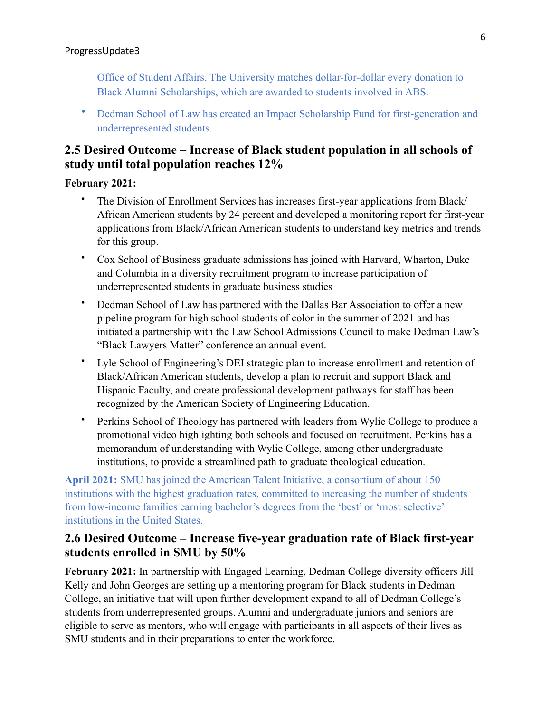Office of Student Affairs. The University matches dollar-for-dollar every donation to Black Alumni Scholarships, which are awarded to students involved in ABS.

• Dedman School of Law has created an Impact Scholarship Fund for first-generation and underrepresented students.

# **2.5 Desired Outcome – Increase of Black student population in all schools of study until total population reaches 12%**

#### **February 2021:**

- The Division of Enrollment Services has increases first-year applications from Black/ African American students by 24 percent and developed a monitoring report for first-year applications from Black/African American students to understand key metrics and trends for this group.
- Cox School of Business graduate admissions has joined with Harvard, Wharton, Duke and Columbia in a diversity recruitment program to increase participation of underrepresented students in graduate business studies
- Dedman School of Law has partnered with the Dallas Bar Association to offer a new pipeline program for high school students of color in the summer of 2021 and has initiated a partnership with the Law School Admissions Council to make Dedman Law's "Black Lawyers Matter" conference an annual event.
- Lyle School of Engineering's DEI strategic plan to increase enrollment and retention of Black/African American students, develop a plan to recruit and support Black and Hispanic Faculty, and create professional development pathways for staff has been recognized by the American Society of Engineering Education.
- Perkins School of Theology has partnered with leaders from Wylie College to produce a promotional video highlighting both schools and focused on recruitment. Perkins has a memorandum of understanding with Wylie College, among other undergraduate institutions, to provide a streamlined path to graduate theological education.

**April 2021:** SMU has joined the American Talent Initiative, a consortium of about 150 institutions with the highest graduation rates, committed to increasing the number of students from low-income families earning bachelor's degrees from the 'best' or 'most selective' institutions in the United States.

## **2.6 Desired Outcome – Increase five-year graduation rate of Black first-year students enrolled in SMU by 50%**

**February 2021:** In partnership with Engaged Learning, Dedman College diversity officers Jill Kelly and John Georges are setting up a mentoring program for Black students in Dedman College, an initiative that will upon further development expand to all of Dedman College's students from underrepresented groups. Alumni and undergraduate juniors and seniors are eligible to serve as mentors, who will engage with participants in all aspects of their lives as SMU students and in their preparations to enter the workforce.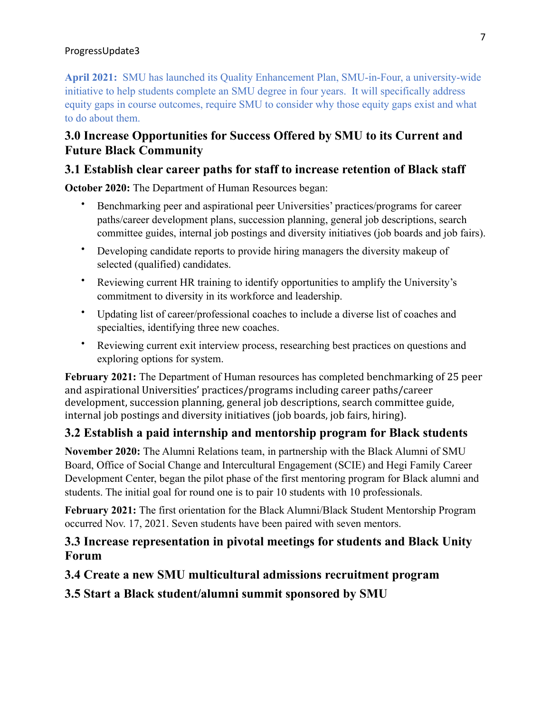**April 2021:** SMU has launched its Quality Enhancement Plan, SMU-in-Four, a university-wide initiative to help students complete an SMU degree in four years. It will specifically address equity gaps in course outcomes, require SMU to consider why those equity gaps exist and what to do about them.

# **3.0 Increase Opportunities for Success Offered by SMU to its Current and Future Black Community**

# **3.1 Establish clear career paths for staff to increase retention of Black staff**

**October 2020:** The Department of Human Resources began:

- Benchmarking peer and aspirational peer Universities' practices/programs for career paths/career development plans, succession planning, general job descriptions, search committee guides, internal job postings and diversity initiatives (job boards and job fairs).
- Developing candidate reports to provide hiring managers the diversity makeup of selected (qualified) candidates.
- Reviewing current HR training to identify opportunities to amplify the University's commitment to diversity in its workforce and leadership.
- Updating list of career/professional coaches to include a diverse list of coaches and specialties, identifying three new coaches.
- Reviewing current exit interview process, researching best practices on questions and exploring options for system.

**February 2021:** The Department of Human resources has completed benchmarking of 25 peer and aspirational Universities' practices/programs including career paths/career development, succession planning, general job descriptions, search committee guide, internal job postings and diversity initiatives (job boards, job fairs, hiring).

## **3.2 Establish a paid internship and mentorship program for Black students**

**November 2020:** The Alumni Relations team, in partnership with the Black Alumni of SMU Board, Office of Social Change and Intercultural Engagement (SCIE) and Hegi Family Career Development Center, began the pilot phase of the first mentoring program for Black alumni and students. The initial goal for round one is to pair 10 students with 10 professionals.

**February 2021:** The first orientation for the Black Alumni/Black Student Mentorship Program occurred Nov. 17, 2021. Seven students have been paired with seven mentors.

## **3.3 Increase representation in pivotal meetings for students and Black Unity Forum**

## **3.4 Create a new SMU multicultural admissions recruitment program**

**3.5 Start a Black student/alumni summit sponsored by SMU**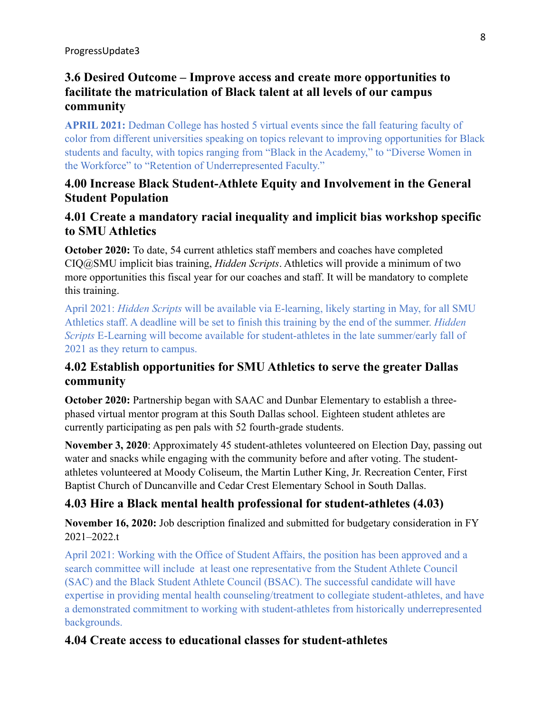# **3.6 Desired Outcome – Improve access and create more opportunities to facilitate the matriculation of Black talent at all levels of our campus community**

**APRIL 2021:** Dedman College has hosted 5 virtual events since the fall featuring faculty of color from different universities speaking on topics relevant to improving opportunities for Black students and faculty, with topics ranging from "Black in the Academy," to "Diverse Women in the Workforce" to "Retention of Underrepresented Faculty."

# **4.00 Increase Black Student-Athlete Equity and Involvement in the General Student Population**

# **4.01 Create a mandatory racial inequality and implicit bias workshop specific to SMU Athletics**

**October 2020:** To date, 54 current athletics staff members and coaches have completed CIQ@SMU implicit bias training, *Hidden Scripts*. Athletics will provide a minimum of two more opportunities this fiscal year for our coaches and staff. It will be mandatory to complete this training.

April 2021: *Hidden Scripts* will be available via E-learning, likely starting in May, for all SMU Athletics staff. A deadline will be set to finish this training by the end of the summer. *Hidden Scripts* E-Learning will become available for student-athletes in the late summer/early fall of 2021 as they return to campus.

# **4.02 Establish opportunities for SMU Athletics to serve the greater Dallas community**

**October 2020:** Partnership began with SAAC and Dunbar Elementary to establish a threephased virtual mentor program at this South Dallas school. Eighteen student athletes are currently participating as pen pals with 52 fourth-grade students.

**November 3, 2020**: Approximately 45 student-athletes volunteered on Election Day, passing out water and snacks while engaging with the community before and after voting. The studentathletes volunteered at Moody Coliseum, the Martin Luther King, Jr. Recreation Center, First Baptist Church of Duncanville and Cedar Crest Elementary School in South Dallas.

# **4.03 Hire a Black mental health professional for student-athletes (4.03)**

**November 16, 2020:** Job description finalized and submitted for budgetary consideration in FY 2021–2022.t

April 2021: Working with the Office of Student Affairs, the position has been approved and a search committee will include at least one representative from the Student Athlete Council (SAC) and the Black Student Athlete Council (BSAC). The successful candidate will have expertise in providing mental health counseling/treatment to collegiate student-athletes, and have a demonstrated commitment to working with student-athletes from historically underrepresented backgrounds.

## **4.04 Create access to educational classes for student-athletes**